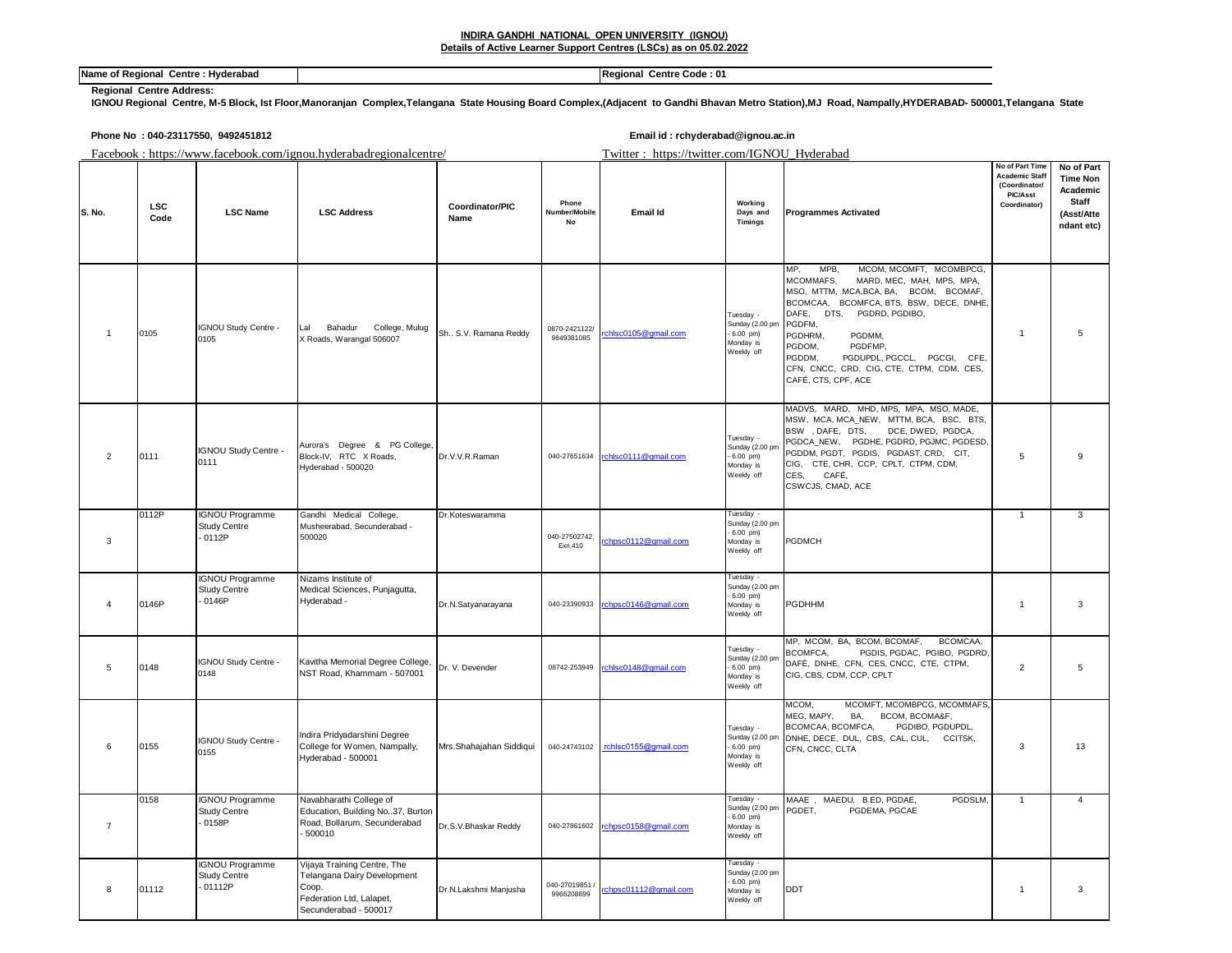## **Name of Regional Centre : Hyderabad Regional Centre Code : 01 Regional Centre Code : 01**

## **Regional Centre Address:**

**IGNOU Regional Centre, M-5 Block, Ist Floor,Manoranjan Complex,Telangana State Housing Board Complex,(Adjacent to Gandhi Bhavan Metro Station),MJ Road, Nampally,HYDERABAD- 500001,Telangana State**

|                |             | Phone No : 040-23117550, 9492451812                       |                                                                                                                          | Email id: rchyderabad@ignou.ac.in |                                              |                      |                                                                        |                                                                                                                                                                                                                                                                                                                                                                     |                                                                                       |                                                                                |
|----------------|-------------|-----------------------------------------------------------|--------------------------------------------------------------------------------------------------------------------------|-----------------------------------|----------------------------------------------|----------------------|------------------------------------------------------------------------|---------------------------------------------------------------------------------------------------------------------------------------------------------------------------------------------------------------------------------------------------------------------------------------------------------------------------------------------------------------------|---------------------------------------------------------------------------------------|--------------------------------------------------------------------------------|
|                |             |                                                           | Facebook: https://www.facebook.com/ignou.hyderabadregionalcentre/                                                        |                                   | Twitter: https://twitter.com/IGNOU_Hyderabad |                      |                                                                        |                                                                                                                                                                                                                                                                                                                                                                     |                                                                                       |                                                                                |
| S. No.         | LSC<br>Code | <b>LSC Name</b>                                           | <b>LSC Address</b>                                                                                                       | Coordinator/PIC<br>Name           | Phone<br>Number/Mobile<br>No                 | Email Id             | Working<br>Days and<br><b>Timinas</b>                                  | <b>Programmes Activated</b>                                                                                                                                                                                                                                                                                                                                         | No of Part Time<br><b>Academic Staff</b><br>(Coordinator/<br>PIC/Asst<br>Coordinator) | No of Part<br><b>Time Non</b><br>Academic<br>Staff<br>(Asst/Atte<br>ndant etc) |
| $\mathbf{1}$   | 0105        | IGNOU Study Centre -<br>0105                              | Bahadur<br>College, Mulug<br>Lal<br>X Roads, Warangal 506007                                                             | Sh., S.V. Ramana Reddy            | 0870-2421122/<br>9849381085                  | chlsc0105@gmail.com  | Tuesday -<br>Sunday (2.00 pm<br>$-6.00$ pm)<br>Monday is<br>Weekly off | MCOM, MCOMFT, MCOMBPCG,<br>MP,<br>MPB,<br>MCOMMAFS,<br>MARD, MEC, MAH, MPS, MPA,<br>MSO, MTTM, MCA, BCA, BA, BCOM, BCOMAF,<br>BCOMCAA, BCOMFCA, BTS, BSW, DECE, DNHE,<br>DAFE, DTS, PGDRD, PGDIBO,<br>PGDFM,<br>PGDHRM,<br>PGDMM,<br>PGDOM,<br>PGDFMP,<br>PGDDM,<br>PGDUPDL, PGCCL, PGCGI, CFE,<br>CFN, CNCC, CRD, CIG, CTE, CTPM, CDM, CES,<br>CAFÉ, CTS, CPF, ACE | $\mathbf{1}$                                                                          | 5                                                                              |
| $\overline{2}$ | 0111        | IGNOU Study Centre -<br>0111                              | Aurora's Degree & PG College,<br>Block-IV, RTC X Roads,<br>Hyderabad - 500020                                            | Dr.V.V.R.Raman                    | 040-27651634                                 | rchlsc0111@gmail.com | Tuesday -<br>Sunday (2.00 pm<br>$-6.00$ pm)<br>Monday is<br>Weekly off | MADVS, MARD, MHD, MPS, MPA, MSO, MADE,<br>MSW, MCA, MCA_NEW, MTTM, BCA, BSC, BTS,<br>BSW, DAFE, DTS,<br>DCE, DWED, PGDCA,<br>PGDCA_NEW, PGDHE, PGDRD, PGJMC, PGDESD,<br>PGDDM, PGDT, PGDIS, PGDAST, CRD, CIT,<br>CIG, CTE, CHR, CCP, CPLT, CTPM, CDM,<br>CES.<br>CAFÉ,<br>CSWCJS, CMAD, ACE                                                                         | 5                                                                                     | 9                                                                              |
| 3              | 0112P       | <b>IGNOU Programme</b><br><b>Study Centre</b><br>$-0112P$ | Gandhi Medical College,<br>Musheerabad, Secunderabad -<br>500020                                                         | Dr.Koteswaramma                   | 040-27502742,<br>Exn.410                     | chpsc0112@gmail.com  | Tuesday -<br>Sunday (2.00 pm<br>$-6.00$ pm)<br>Monday is<br>Weekly off | PGDMCH                                                                                                                                                                                                                                                                                                                                                              | $\mathbf{1}$                                                                          | 3                                                                              |
| $\overline{4}$ | 0146P       | <b>IGNOU Programme</b><br><b>Study Centre</b><br>0146P    | Nizams Institute of<br>Medical Sciences, Punjagutta,<br>Hyderabad -                                                      | Dr.N.Satyanarayana                | 040-23390933                                 | rchpsc0146@gmail.com | Tuesday<br>Sunday (2.00 pm<br>$6.00$ pm)<br>Monday is<br>Weekly off    | PGDHHM                                                                                                                                                                                                                                                                                                                                                              | $\mathbf{1}$                                                                          | 3                                                                              |
| 5              | 0148        | IGNOU Study Centre -<br>0148                              | Kavitha Memorial Degree College,<br>NST Road, Khammam - 507001                                                           | Dr. V. Devender                   | 08742-253949                                 | rchlsc0148@gmail.com | Tuesday -<br>Sunday (2.00 pm<br>$-6.00$ pm)<br>Monday is<br>Weekly off | BCOMCAA,<br>MP, MCOM, BA, BCOM, BCOMAF,<br>BCOMFCA,<br>PGDIS, PGDAC, PGIBO, PGDRD,<br>DAFÉ, DNHE, CFN, CES, CNCC, CTE, CTPM,<br>CIG, CBS, CDM, CCP, CPLT                                                                                                                                                                                                            | $\overline{2}$                                                                        | 5                                                                              |
| 6              | 0155        | IGNOU Study Centre -<br>0155                              | Indira Pridyadarshini Degree<br>College for Women, Nampally,<br>Hyderabad - 500001                                       | Mrs.Shahajahan Siddiqui           | 040-24743102                                 | rchlsc0155@gmail.com | Tuesday -<br>Sunday (2.00 pm<br>$-6.00$ pm)<br>Monday is<br>Weekly off | MCOMFT, MCOMBPCG, MCOMMAFS<br>MCOM,<br>MEG, MAPY,<br>BCOM, BCOMA&F,<br>BA,<br>BCOMCAA, BCOMFCA,<br>PGDIBO, PGDUPDL,<br>DNHE, DECE, DUL, CBS, CAL, CUL, CCITSK,<br>CFN, CNCC, CLTA                                                                                                                                                                                   | 3                                                                                     | 13                                                                             |
| $\overline{7}$ | 0158        | <b>IGNOU Programme</b><br><b>Study Centre</b><br>0158P    | Navabharathi College of<br>Education, Building No37, Burton<br>Road, Bollarum, Secunderabad<br>500010                    | Dr, S.V. Bhaskar Reddy            | 040-27861602                                 | chpsc0158@gmail.com  | Tuesday<br>Sunday (2.00 pm<br>$-6.00$ pm)<br>Monday is<br>Weekly off   | MAAE, MAEDU, B.ED, PGDAE,<br>PGDSLM<br>PGDET,<br>PGDEMA, PGCAE                                                                                                                                                                                                                                                                                                      | $\mathbf{1}$                                                                          |                                                                                |
| 8              | 01112       | <b>IGNOU Programme</b><br>Study Centre<br>01112P          | Vijaya Training Centre, The<br>Telangana Dairy Development<br>Coop.<br>Federation Ltd, Lalapet,<br>Secunderabad - 500017 | Dr.N.Lakshmi Manjusha             | 040-27019851<br>9966208899                   | chpsc01112@gmail.com | Tuesday<br>Sunday (2.00 pm<br>$6.00$ pm)<br>Monday is<br>Weekly off    | <b>DDT</b>                                                                                                                                                                                                                                                                                                                                                          | $\mathbf{1}$                                                                          | 3                                                                              |